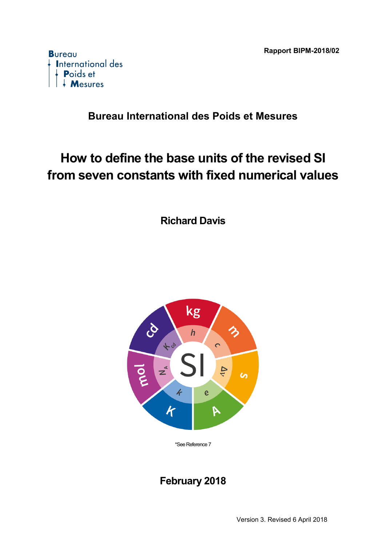

### **Bureau International des Poids et Mesures**

# **How to define the base units of the revised SI from seven constants with fixed numerical values**

**Richard Davis** 



\*See Reference 7

## **February 2018**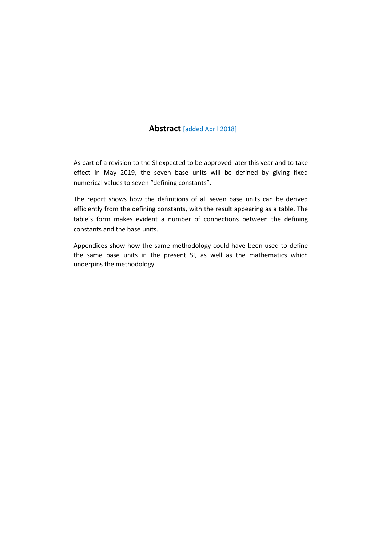#### **Abstract** [added April 2018]

As part of a revision to the SI expected to be approved later this year and to take effect in May 2019, the seven base units will be defined by giving fixed numerical values to seven "defining constants".

The report shows how the definitions of all seven base units can be derived efficiently from the defining constants, with the result appearing as a table. The table's form makes evident a number of connections between the defining constants and the base units.

Appendices show how the same methodology could have been used to define the same base units in the present SI, as well as the mathematics which underpins the methodology.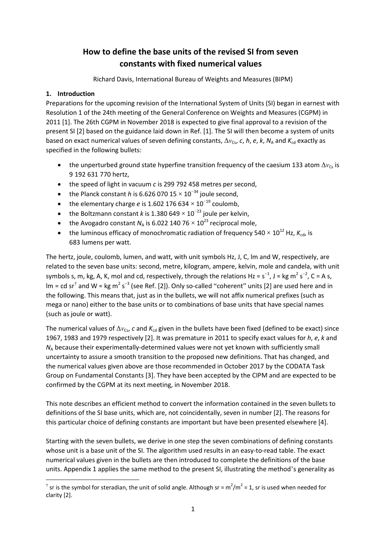### **How to define the base units of the revised SI from seven constants with fixed numerical values**

Richard Davis, International Bureau of Weights and Measures (BIPM)

#### **1. Introduction**

Preparations for the upcoming revision of the International System of Units (SI) began in earnest with Resolution 1 of the 24th meeting of the General Conference on Weights and Measures (CGPM) in 2011 [1]. The 26th CGPM in November 2018 is expected to give final approval to a revision of the present SI [2] based on the guidance laid down in Ref. [1]. The SI will then become a system of units based on exact numerical values of seven defining constants,  $\Delta v_{\text{Cs}}$ , *c*, *h*, *e*, *k*,  $N_A$  and  $K_{\text{cd}}$  exactly as specified in the following bullets:

- the unperturbed ground state hyperfine transition frequency of the caesium 133 atom  $\Delta v_{\text{Cs}}$  is 9 192 631 770 hertz,
- the speed of light in vacuum *c* is 299 792 458 metres per second,
- the Planck constant *h* is 6.626 070 15  $\times$  10<sup>-34</sup> joule second,
- the elementary charge *e* is 1.602 176 634  $\times$  10<sup>-19</sup> coulomb,
- the Boltzmann constant *k* is 1.380 649  $\times$  10<sup>-23</sup> joule per kelvin,
- the Avogadro constant  $N<sub>A</sub>$  is 6.022 140 76  $\times$  10<sup>23</sup> reciprocal mole,
- the luminous efficacy of monochromatic radiation of frequency  $540 \times 10^{12}$  Hz,  $K_{\text{cd}}$ , is 683 lumens per watt.

The hertz, joule, coulomb, lumen, and watt, with unit symbols Hz, J, C, lm and W, respectively, are related to the seven base units: second, metre, kilogram, ampere, kelvin, mole and candela, with unit symbols s, m, kg, A, K, mol and cd, respectively, through the relations Hz =  $s^{-1}$ , J = kg m<sup>2</sup> s<sup>-2</sup>, C = A s,  $\text{Im} = \text{cd} \text{ sr}^{\dagger}$  and W = kg m<sup>2</sup> s<sup>-3</sup> (see Ref. [2]). Only so-called "coherent" units [2] are used here and in the following. This means that, just as in the bullets, we will not affix numerical prefixes (such as mega or nano) either to the base units or to combinations of base units that have special names (such as joule or watt).

The numerical values of  $\Delta v_{\text{Cs}}$ , *c* and  $K_{\text{cd}}$  given in the bullets have been fixed (defined to be exact) since 1967, 1983 and 1979 respectively [2]. It was premature in 2011 to specify exact values for *h*, *e*, *k* and *N*<sub>A</sub> because their experimentally-determined values were not yet known with sufficiently small uncertainty to assure a smooth transition to the proposed new definitions. That has changed, and the numerical values given above are those recommended in October 2017 by the CODATA Task Group on Fundamental Constants [3]. They have been accepted by the CIPM and are expected to be confirmed by the CGPM at its next meeting, in November 2018.

This note describes an efficient method to convert the information contained in the seven bullets to definitions of the SI base units, which are, not coincidentally, seven in number [2]. The reasons for this particular choice of defining constants are important but have been presented elsewhere [4].

Starting with the seven bullets, we derive in one step the seven combinations of defining constants whose unit is a base unit of the SI. The algorithm used results in an easy-to-read table. The exact numerical values given in the bullets are then introduced to complete the definitions of the base units. Appendix 1 applies the same method to the present SI, illustrating the method's generality as

<span id="page-2-0"></span>**<sup>.</sup>** <sup>†</sup> sr is the symbol for steradian, the unit of solid angle. Although sr =  $m^2/m^2$  = 1, sr is used when needed for clarity [2].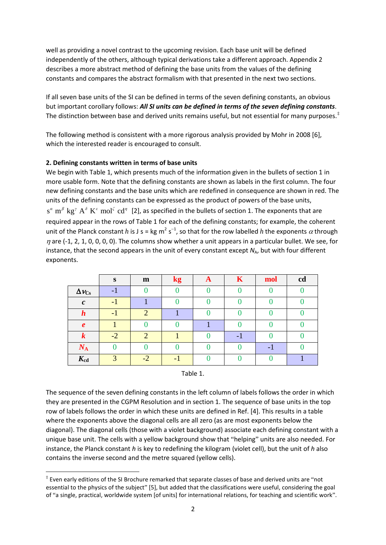well as providing a novel contrast to the upcoming revision. Each base unit will be defined independently of the others, although typical derivations take a different approach. Appendix 2 describes a more abstract method of defining the base units from the values of the defining constants and compares the abstract formalism with that presented in the next two sections.

If all seven base units of the SI can be defined in terms of the seven defining constants, an obvious but important corollary follows: *All SI units can be defined in terms of the seven defining constants*. The distinction between base and derived units remains useful, but not essential for many purposes.<sup>[‡](#page-3-0)</sup>

The following method is consistent with a more rigorous analysis provided by Mohr in 2008 [6], which the interested reader is encouraged to consult.

#### **2. Defining constants written in terms of base units**

**.** 

We begin with Table 1, which presents much of the information given in the bullets of section 1 in more usable form. Note that the defining constants are shown as labels in the first column. The four new defining constants and the base units which are redefined in consequence are shown in red. The units of the defining constants can be expressed as the product of powers of the base units,  $s^{\alpha}$  m<sup>β</sup> kg<sup>*γ*</sup> A<sup>δ</sup> K<sup>ε</sup> mol<sup>ζ</sup> cd<sup>*η*</sup> [2], as specified in the bullets of section 1. The exponents that are required appear in the rows of Table 1 for each of the defining constants; for example, the coherent unit of the Planck constant *h* is J s = kg m<sup>2</sup> s<sup>-1</sup>, so that for the row labelled *h* the exponents  $\alpha$  through  $\eta$  are (-1, 2, 1, 0, 0, 0, 0). The columns show whether a unit appears in a particular bullet. We see, for instance, that the second appears in the unit of every constant except N<sub>A</sub>, but with four different exponents.

|                     | S    | $\mathbf{m}$ | kg | A | K | mol | cd |
|---------------------|------|--------------|----|---|---|-----|----|
| $\Delta v_{\rm Cs}$ |      |              |    |   |   |     |    |
| $\mathcal{C}$       | - 1  |              |    |   |   |     |    |
| $\bm{h}$            |      | ◠            |    |   |   |     |    |
| $\boldsymbol{e}$    |      |              |    |   |   |     |    |
| $\bm{k}$            | $-2$ | ി            |    |   |   |     |    |
| $N_{\rm A}$         |      |              |    |   |   |     |    |
| $K_{cd}$            |      | $-2$         |    |   |   |     |    |



The sequence of the seven defining constants in the left column of labels follows the order in which they are presented in the CGPM Resolution and in section 1. The sequence of base units in the top row of labels follows the order in which these units are defined in Ref. [4]. This results in a table where the exponents above the diagonal cells are all zero (as are most exponents below the diagonal). The diagonal cells (those with a violet background) associate each defining constant with a unique base unit. The cells with a yellow background show that "helping" units are also needed. For instance, the Planck constant *h* is key to redefining the kilogram (violet cell), but the unit of *h* also contains the inverse second and the metre squared (yellow cells).

<span id="page-3-0"></span><sup>‡</sup> Even early editions of the SI Brochure remarked that separate classes of base and derived units are "not essential to the physics of the subject" [5], but added that the classifications were useful, considering the goal of "a single, practical, worldwide system [of units] for international relations, for teaching and scientific work".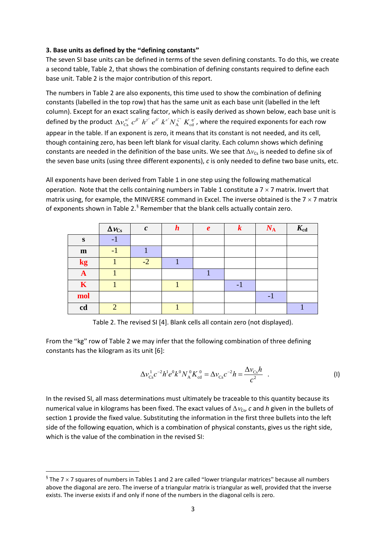#### **3. Base units as defined by the "defining constants"**

The seven SI base units can be defined in terms of the seven defining constants. To do this, we create a second table, Table 2, that shows the combination of defining constants required to define each base unit. Table 2 is the major contribution of this report.

The numbers in Table 2 are also exponents, this time used to show the combination of defining constants (labelled in the top row) that has the same unit as each base unit (labelled in the left column). Except for an exact scaling factor, which is easily derived as shown below, each base unit is defined by the product  $\Delta v_{Cs}^{a'} c^{\beta'} h^{v'} e^{\delta'} k^{c'} N_A^{\zeta'} K_{cd}^{\eta'}$ , where the required exponents for each row appear in the table. If an exponent is zero, it means that its constant is not needed, and its cell, though containing zero, has been left blank for visual clarity. Each column shows which defining constants are needed in the definition of the base units. We see that  $\Delta v_{\text{Cs}}$  is needed to define six of the seven base units (using three different exponents), *c* is only needed to define two base units, etc.

All exponents have been derived from Table 1 in one step using the following mathematical operation. Note that the cells containing numbers in Table 1 constitute a  $7 \times 7$  matrix. Invert that matrix using, for example, the MINVERSE command in Excel. The inverse obtained is the  $7 \times 7$  matrix of exponents shown in Table 2.<sup>[§](#page-4-0)</sup> Remember that the blank cells actually contain zero.

|              | $\Delta v_{\rm Cs}$ | $\mathcal{C}$ | $\boldsymbol{h}$ | $\boldsymbol{e}$ | $\boldsymbol{k}$ | $N_{\rm A}$ | $K_{cd}$ |
|--------------|---------------------|---------------|------------------|------------------|------------------|-------------|----------|
| S            | - 1                 |               |                  |                  |                  |             |          |
| $\mathbf{m}$ | - 1                 |               |                  |                  |                  |             |          |
| kg           |                     | $-2$          |                  |                  |                  |             |          |
| A            |                     |               |                  |                  |                  |             |          |
| $\mathbf K$  |                     |               |                  |                  | - 1              |             |          |
| mol          |                     |               |                  |                  |                  | - 1         |          |
| cd           | $\mathcal{D}$       |               |                  |                  |                  |             |          |

Table 2. The revised SI [4]. Blank cells all contain zero (not displayed).

From the "kg" row of Table 2 we may infer that the following combination of three defining constants has the kilogram as its unit [6]:

$$
\Delta v_{\rm cs}^1 c^{-2} h^1 e^0 k^0 N_A^0 K_{\rm cd}^0 = \Delta v_{\rm cs} c^{-2} h = \frac{\Delta v_{\rm cs} h}{c^2} . \tag{1}
$$

In the revised SI, all mass determinations must ultimately be traceable to this quantity because its numerical value in kilograms has been fixed. The exact values of ∆*ν*<sub>Cs</sub>, *c* and *h* given in the bullets of section 1 provide the fixed value. Substituting the information in the first three bullets into the left side of the following equation, which is a combination of physical constants, gives us the right side, which is the value of the combination in the revised SI:

 $\overline{a}$ 

<span id="page-4-0"></span> $\frac{1}{3}$  The 7 x 7 squares of numbers in Tables 1 and 2 are called "lower triangular matrices" because all numbers above the diagonal are zero. The inverse of a triangular matrix is triangular as well, provided that the inverse exists. The inverse exists if and only if none of the numbers in the diagonal cells is zero.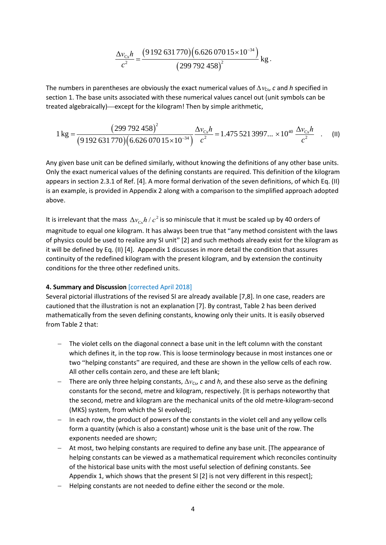$$
\frac{\Delta v_{\text{Cs}} h}{c^2} = \frac{(9192631770)(6.62607015 \times 10^{-34})}{(299792458)^2} \text{ kg}.
$$

The numbers in parentheses are obviously the exact numerical values of  $\Delta v_{\rm Cs}$ , *c* and *h* specified in section 1. The base units associated with these numerical values cancel out (unit symbols can be treated algebraically)—except for the kilogram! Then by simple arithmetic,

$$
1 \text{ kg} = \frac{(299\,792\,458)^2}{(9\,192\,631\,770)(6.626\,070\,15 \times 10^{-34})} \frac{\Delta v_{\text{Cs}}h}{c^2} = 1.475\,521\,3997... \times 10^{40} \frac{\Delta v_{\text{Cs}}h}{c^2} \quad . \tag{II}
$$

Any given base unit can be defined similarly, without knowing the definitions of any other base units. Only the exact numerical values of the defining constants are required. This definition of the kilogram appears in section 2.3.1 of Ref. [4]. A more formal derivation of the seven definitions, of which Eq. (II) is an example, is provided in Appendix 2 along with a comparison to the simplified approach adopted above.

It is irrelevant that the mass  $\Delta v_{c} h / c^2$  is so miniscule that it must be scaled up by 40 orders of magnitude to equal one kilogram. It has always been true that "any method consistent with the laws of physics could be used to realize any SI unit" [2] and such methods already exist for the kilogram as it will be defined by Eq. (II) [4]. Appendix 1 discusses in more detail the condition that assures continuity of the redefined kilogram with the present kilogram, and by extension the continuity conditions for the three other redefined units.

#### **4. Summary and Discussion** [corrected April 2018]

Several pictorial illustrations of the revised SI are already available [7,8]. In one case, readers are cautioned that the illustration is not an explanation [7]. By contrast, Table 2 has been derived mathematically from the seven defining constants, knowing only their units. It is easily observed from Table 2 that:

- − The violet cells on the diagonal connect a base unit in the left column with the constant which defines it, in the top row. This is loose terminology because in most instances one or two "helping constants" are required, and these are shown in the yellow cells of each row. All other cells contain zero, and these are left blank;
- − There are only three helping constants,  $\Delta v_{Cs}$ , *c* and *h*, and these also serve as the defining constants for the second, metre and kilogram, respectively. [It is perhaps noteworthy that the second, metre and kilogram are the mechanical units of the old metre-kilogram-second (MKS) system, from which the SI evolved];
- − In each row, the product of powers of the constants in the violet cell and any yellow cells form a quantity (which is also a constant) whose unit is the base unit of the row. The exponents needed are shown;
- − At most, two helping constants are required to define any base unit. [The appearance of helping constants can be viewed as a mathematical requirement which reconciles continuity of the historical base units with the most useful selection of defining constants. See Appendix 1, which shows that the present SI [2] is not very different in this respect];
- − Helping constants are not needed to define either the second or the mole.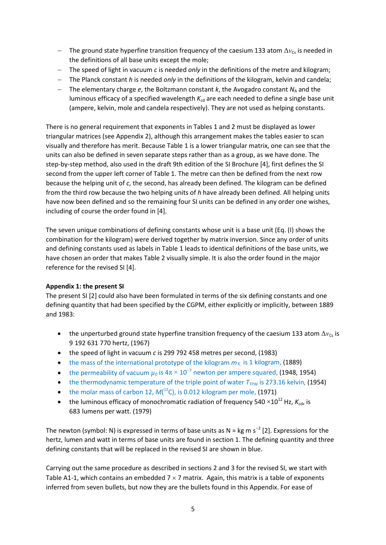- − The ground state hyperfine transition frequency of the caesium 133 atom Δ*ν*<sub>Cs</sub> is needed in the definitions of all base units except the mole;
- − The speed of light in vacuum *c* is needed *only* in the definitions of the metre and kilogram;
- − The Planck constant *h* is needed *only* in the definitions of the kilogram, kelvin and candela;
- − The elementary charge *e*, the Boltzmann constant *k*, the Avogadro constant *N*<sub>A</sub> and the luminous efficacy of a specified wavelength  $K<sub>cd</sub>$  are each needed to define a single base unit (ampere, kelvin, mole and candela respectively). They are not used as helping constants.

There is no general requirement that exponents in Tables 1 and 2 must be displayed as lower triangular matrices (see Appendix 2), although this arrangement makes the tables easier to scan visually and therefore has merit. Because Table 1 is a lower triangular matrix, one can see that the units can also be defined in seven separate steps rather than as a group, as we have done. The step-by-step method, also used in the draft 9th edition of the SI Brochure [4], first defines the SI second from the upper left corner of Table 1. The metre can then be defined from the next row because the helping unit of *c*, the second, has already been defined. The kilogram can be defined from the third row because the two helping units of *h* have already been defined. All helping units have now been defined and so the remaining four SI units can be defined in any order one wishes, including of course the order found in [4].

The seven unique combinations of defining constants whose unit is a base unit (Eq. (I) shows the combination for the kilogram) were derived together by matrix inversion. Since any order of units and defining constants used as labels in Table 1 leads to identical definitions of the base units, we have chosen an order that makes Table 2 visually simple. It is also the order found in the major reference for the revised SI [4].

#### **Appendix 1: the present SI**

The present SI [2] could also have been formulated in terms of the six defining constants and one defining quantity that had been specified by the CGPM, either explicitly or implicitly, between 1889 and 1983:

- the unperturbed ground state hyperfine transition frequency of the caesium 133 atom  $\Delta v_{\text{Cs}}$  is 9 192 631 770 hertz, (1967)
- the speed of light in vacuum *c* is 299 792 458 metres per second, (1983)
- the mass of the international prototype of the kilogram  $m_K$  is 1 kilogram, (1889)
- the permeability of vacuum  $\mu_0$  is  $4\pi \times 10^{-7}$  newton per ampere squared, (1948, 1954)
- the thermodynamic temperature of the triple point of water  $T_{TPW}$  is 273.16 kelvin, (1954)
- the molar mass of carbon 12,  $M(^{12}C)$ , is 0.012 kilogram per mole, (1971)
- the luminous efficacy of monochromatic radiation of frequency 540  $\times$ 10<sup>12</sup> Hz,  $K_{cd}$ , is 683 lumens per watt. (1979)

The newton (symbol: N) is expressed in terms of base units as N = kg m s<sup>-2</sup> [2]. Expressions for the hertz, lumen and watt in terms of base units are found in section 1. The defining quantity and three defining constants that will be replaced in the revised SI are shown in blue.

Carrying out the same procedure as described in sections 2 and 3 for the revised SI, we start with Table A1-1, which contains an embedded  $7 \times 7$  matrix. Again, this matrix is a table of exponents inferred from seven bullets, but now they are the bullets found in this Appendix. For ease of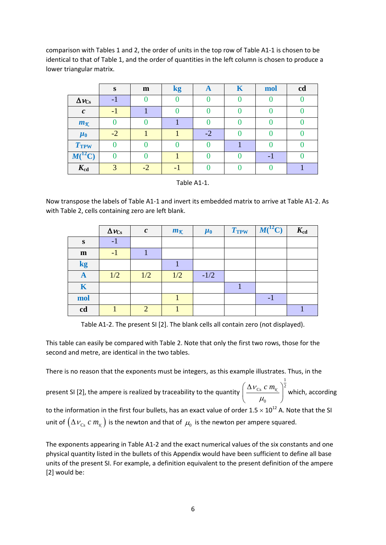comparison with Tables 1 and 2, the order of units in the top row of Table A1-1 is chosen to be identical to that of Table 1, and the order of quantities in the left column is chosen to produce a lower triangular matrix.

|                           | S     | m    | kg | $\mathbf{A}$ | K | mol | cd |
|---------------------------|-------|------|----|--------------|---|-----|----|
| $\Delta\nu_{\mathrm{Cs}}$ | -     |      |    |              |   |     |    |
| $\mathcal{C}$             | $= 1$ |      |    |              |   |     |    |
| $m_{\mathcal{K}}$         |       |      |    |              |   |     |    |
| $\mu_0$                   | $-2$  |      |    | $-2$         |   |     |    |
| T <sub>TPW</sub>          |       |      |    |              |   |     |    |
| $^{12}{\rm C)}$<br>M(     |       |      |    |              |   | - 1 |    |
| $K_{cd}$                  | ⌒     | $-2$ |    |              |   |     |    |

Now transpose the labels of Table A1-1 and invert its embedded matrix to arrive at Table A1-2. As with Table 2, cells containing zero are left blank.

|             | $\Delta \nu_{\rm Cs}$ | $\boldsymbol{c}$ | $m_{\mathcal{K}}$ | $\mu_0$ | T <sub>TPW</sub> | $M(^{12}C)$ | $K_{\rm cd}$ |
|-------------|-----------------------|------------------|-------------------|---------|------------------|-------------|--------------|
| S           | $-1$                  |                  |                   |         |                  |             |              |
| m           | $-1$                  |                  |                   |         |                  |             |              |
| kg          |                       |                  |                   |         |                  |             |              |
| $\mathbf A$ | 1/2                   | 1/2              | 1/2               | $-1/2$  |                  |             |              |
| K           |                       |                  |                   |         |                  |             |              |
| mol         |                       |                  |                   |         |                  | - 1         |              |
| cd          |                       | ↑                |                   |         |                  |             |              |

Table A1-2. The present SI [2]. The blank cells all contain zero (not displayed).

This table can easily be compared with Table 2. Note that only the first two rows, those for the second and metre, are identical in the two tables.

There is no reason that the exponents must be integers, as this example illustrates. Thus, in the

present SI [2], the ampere is realized by traceability to the quantity 1  $c_{\rm Cs}$  c  $m_{\rm K}$   $|^2$  $\mathbf{0}$ <sup>ν</sup> *c m*  $\mu_{\scriptscriptstyle (}$  $\left(\Delta v_{\rm cs} \; c \; m_{\rm x}\; \right)$  $\left(\frac{\Delta V_{\text{Cs}} C M_{\text{K}}}{\mu_0}\right)$  which, according to the information in the first four bullets, has an exact value of order  $1.5 \times 10^{12}$  A. Note that the SI unit of  $(\Delta v_{Cs} \, c \, m_{K} )$  is the newton and that of  $\mu_{0}$  is the newton per ampere squared.

The exponents appearing in Table A1-2 and the exact numerical values of the six constants and one physical quantity listed in the bullets of this Appendix would have been sufficient to define all base units of the present SI. For example, a definition equivalent to the present definition of the ampere [2] would be: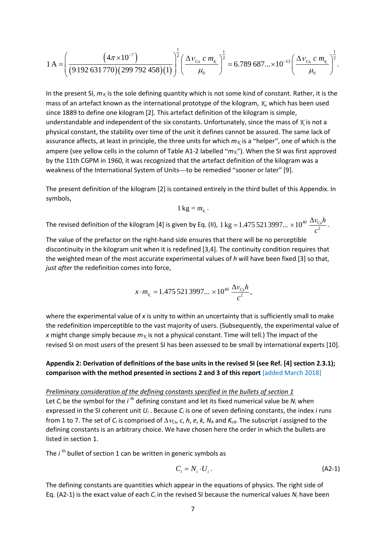$$
1\,\mathrm{A} = \left(\frac{\left(4\pi \times 10^{-7}\right)}{\left(9\,192\,631\,770\right)\left(299\,792\,458\right)\left(1\right)}\right)^{\frac{1}{2}} \left(\frac{\Delta \nu_{\mathrm{Cs}}\,c\,m_{\mathrm{K}}}{\mu_{0}}\right)^{\frac{1}{2}} = 6.789\,687... \times 10^{-13} \left(\frac{\Delta \nu_{\mathrm{Cs}}\,c\,m_{\mathrm{K}}}{\mu_{0}}\right)^{\frac{1}{2}}.
$$

In the present SI,  $m<sub>K</sub>$  is the sole defining quantity which is not some kind of constant. Rather, it is the mass of an artefact known as the international prototype of the kilogram, *K*, which has been used since 1889 to define one kilogram [2]. This artefact definition of the kilogram is simple, understandable and independent of the six constants. Unfortunately, since the mass of *K* is not a physical constant, the stability over time of the unit it defines cannot be assured. The same lack of assurance affects, at least in principle, the three units for which  $m<sub>K</sub>$  is a "helper", one of which is the ampere (see yellow cells in the column of Table A1-2 labelled "*mK*"). When the SI was first approved by the 11th CGPM in 1960, it was recognized that the artefact definition of the kilogram was a weakness of the International System of Units—to be remedied "sooner or later" [9].

The present definition of the kilogram [2] is contained entirely in the third bullet of this Appendix. In symbols,

$$
1\,\mathrm{kg}=m_{\chi}.
$$

The revised definition of the kilogram [4] is given by Eq. (II),  $1\,\text{kg} = 1.475\,521\,3997... \times 10^{40}\,\frac{\Delta v_{\text{Cs}}h}{c^2}$ .

The value of the prefactor on the right-hand side ensures that there will be no perceptible discontinuity in the kilogram unit when it is redefined [3,4]. The continuity condition requires that the weighted mean of the most accurate experimental values of *h* will have been fixed [3] so that, *just after* the redefinition comes into force,

$$
x \cdot m_{\chi} = 1.475\,521\,3997... \times 10^{40} \frac{\Delta v_{\rm cs} h}{c^2},
$$

where the experimental value of *x* is unity to within an uncertainty that is sufficiently small to make the redefinition imperceptible to the vast majority of users. (Subsequently, the experimental value of *x* might change simply because  $m<sub>K</sub>$  is not a physical constant. Time will tell.) The impact of the revised SI on most users of the present SI has been assessed to be small by international experts [10].

#### **Appendix 2: Derivation of definitions of the base units in the revised SI (see Ref. [4] section 2.3.1); comparison with the method presented in sections 2 and 3 of this report** [added March 2018]

#### *Preliminary consideration of the defining constants specified in the bullets of section 1*

Let  $C_i$  be the symbol for the *i*<sup>th</sup> defining constant and let its fixed numerical value be  $N_i$  when expressed in the SI coherent unit *Ui* . Because *Ci* is one of seven defining constants, the index *i* runs from 1 to 7. The set of  $C_i$  is comprised of  $\Delta v_{\text{Cs}}$ , *c*, *h*, *e*, *k*,  $N_A$  and  $K_{\text{cd}}$ . The subscript *i* assigned to the defining constants is an arbitrary choice. We have chosen here the order in which the bullets are listed in section 1.

The *i*<sup>th</sup> bullet of section 1 can be written in generic symbols as

$$
C_i = N_i \cdot U_i. \tag{A2-1}
$$

The defining constants are quantities which appear in the equations of physics. The right side of Eq. (A2-1) is the exact value of each *Ci* in the revised SI because the numerical values *Ni* have been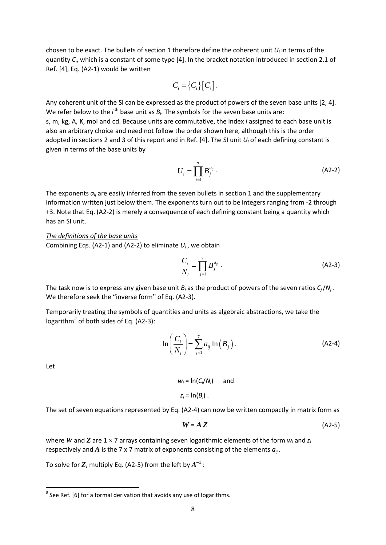chosen to be exact. The bullets of section 1 therefore define the coherent unit *Ui* in terms of the quantity *Ci*, which is a constant of some type [4]. In the bracket notation introduced in section 2.1 of Ref. [4], Eq. (A2-1) would be written

$$
C_i = \big\{C_i\big\}\big[C_i\big].
$$

Any coherent unit of the SI can be expressed as the product of powers of the seven base units [2, 4]. We refer below to the  $i<sup>th</sup>$  base unit as  $B_i$ . The symbols for the seven base units are: s, m, kg, A, K, mol and cd. Because units are commutative, the index *i* assigned to each base unit is also an arbitrary choice and need not follow the order shown here, although this is the order adopted in sections 2 and 3 of this report and in Ref. [4]. The SI unit *Ui* of each defining constant is given in terms of the base units by

$$
U_i = \prod_{j=1}^7 B_j^{a_{ij}}.
$$
 (A2-2)

The exponents  $a_{ii}$  are easily inferred from the seven bullets in section 1 and the supplementary information written just below them. The exponents turn out to be integers ranging from -2 through +3. Note that Eq. (A2-2) is merely a consequence of each defining constant being a quantity which has an SI unit.

*The definitions of the base units* Combining Eqs. (A2-1) and (A2-2) to eliminate *Ui* , we obtain

$$
\frac{C_i}{N_i} = \prod_{j=1}^7 B_j^{a_{ij}} \tag{A2-3}
$$

The task now is to express any given base unit *Bi* as the product of powers of the seven ratios *Cj*/*Nj* . We therefore seek the "inverse form" of Eq. (A2-3).

Temporarily treating the symbols of quantities and units as algebraic abstractions, we take the logarithm<sup>[#](#page-9-0)</sup> of both sides of Eq. (A2-3):

$$
\ln\left(\frac{C_i}{N_i}\right) = \sum_{j=1}^7 a_{ij} \ln\left(B_j\right).
$$
 (A2-4)

Let

$$
w_i = \ln(C_i/N_i) \quad \text{and} \quad z_i = \ln(B_i) \ .
$$

The set of seven equations represented by Eq. (A2-4) can now be written compactly in matrix form as

$$
W = A Z \tag{A2-5}
$$

where *W* and *Z* are 1 × 7 arrays containing seven logarithmic elements of the form *wi* and *zi* respectively and *A* is the 7 x 7 matrix of exponents consisting of the elements  $a_{ii}$ .

To solve for  $\boldsymbol{Z}$ , multiply Eq. (A2-5) from the left by  $A^{-1}$  :

<span id="page-9-0"></span> <sup>#</sup> See Ref. [6] for a formal derivation that avoids any use of logarithms.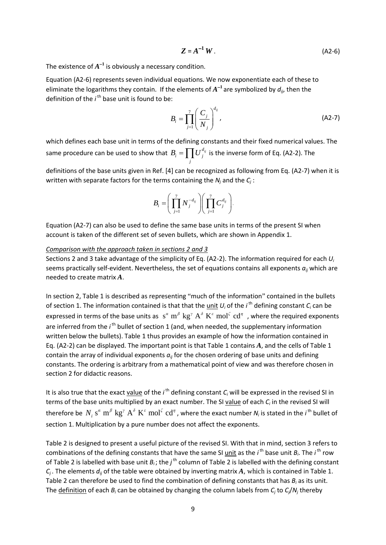$$
Z = A^{-1} W.
$$
 (A2-6)

The existence of  $A^{-1}$  is obviously a necessary condition.

Equation (A2-6) represents seven individual equations. We now exponentiate each of these to eliminate the logarithms they contain. If the elements of *A*<sup>−</sup>**<sup>1</sup>**are symbolized by *dij*, then the definition of the *i*<sup>th</sup> base unit is found to be:

$$
B_i = \prod_{j=1}^7 \left(\frac{C_j}{N_j}\right)^{d_{ij}},
$$
\n(A2-7)

which defines each base unit in terms of the defining constants and their fixed numerical values. The same procedure can be used to show that  $B_i = \prod U_j^{d_{ij}}$  $B_i = \prod_j U_j^{d_{ij}}$  is the inverse form of Eq. (A2-2). The

definitions of the base units given in Ref. [4] can be recognized as following from Eq. (A2-7) when it is written with separate factors for the terms containing the *Nj* and the *Cj* :

$$
B_i = \left(\prod_{j=1}^7 N_j^{-d_{ij}}\right) \left(\prod_{j=1}^7 C_j^{d_{ij}}\right).
$$

Equation (A2-7) can also be used to define the same base units in terms of the present SI when account is taken of the different set of seven bullets, which are shown in Appendix 1.

#### *Comparison with the approach taken in sections 2 and 3*

Sections 2 and 3 take advantage of the simplicity of Eq. (A2-2). The information required for each *Ui* seems practically self-evident. Nevertheless, the set of equations contains all exponents  $a_{ii}$  which are needed to create matrix *A*.

In section 2, Table 1 is described as representing "much of the information" contained in the bullets of section 1. The information contained is that that the unit *U<sub>i</sub>* of the *i*<sup>th</sup> defining constant *C<sub>i</sub>* can be expressed in terms of the base units as  $s^{\alpha}$  m<sup> $\beta$ </sup> kg<sup>*n*</sup> A<sup> $\delta$ </sup> K<sup> $\epsilon$ </sup> mol<sup> $\zeta$ </sup> cd<sup>*n*</sup>, where the required exponents are inferred from the *i*<sup>th</sup> bullet of section 1 (and, when needed, the supplementary information written below the bullets). Table 1 thus provides an example of how the information contained in Eq. (A2-2) can be displayed. The important point is that Table 1 contains *A*, and the cells of Table 1 contain the array of individual exponents  $a_{ij}$  for the chosen ordering of base units and defining constants. The ordering is arbitrary from a mathematical point of view and was therefore chosen in section 2 for didactic reasons.

It is also true that the exact <u>value</u> of the *i*<sup>th</sup> defining constant *C<sub>i</sub>* will be expressed in the revised SI in terms of the base units multiplied by an exact number. The SI value of each  $C_i$  in the revised SI will therefore be  $N_i$   $s^a$   $\mathrm{m}^\beta$   $\mathrm{kg}^\gamma$   $\mathrm{A}^\delta$   $\mathrm{K}^c$   $\mathrm{mol}^\zeta$   $\mathrm{cd}^\eta$  , where the exact number  $N_i$  is stated in the *i*<sup>th</sup> bullet of section 1. Multiplication by a pure number does not affect the exponents.

Table 2 is designed to present a useful picture of the revised SI. With that in mind, section 3 refers to combinations of the defining constants that have the same SI <u>unit</u> as the *i*<sup>th</sup> base unit B<sub>i</sub>. The *i*<sup>th</sup> row of Table 2 is labelled with base unit  $B_i$ ; the  $j^{\text{th}}$  column of Table 2 is labelled with the defining constant  $C_i$ . The elements  $d_{ii}$  of the table were obtained by inverting matrix *A*, which is contained in Table 1. Table 2 can therefore be used to find the combination of defining constants that has *Bi* as its unit. The definition of each *Bi* can be obtained by changing the column labels from *Cj* to *Cj*/*Nj* thereby